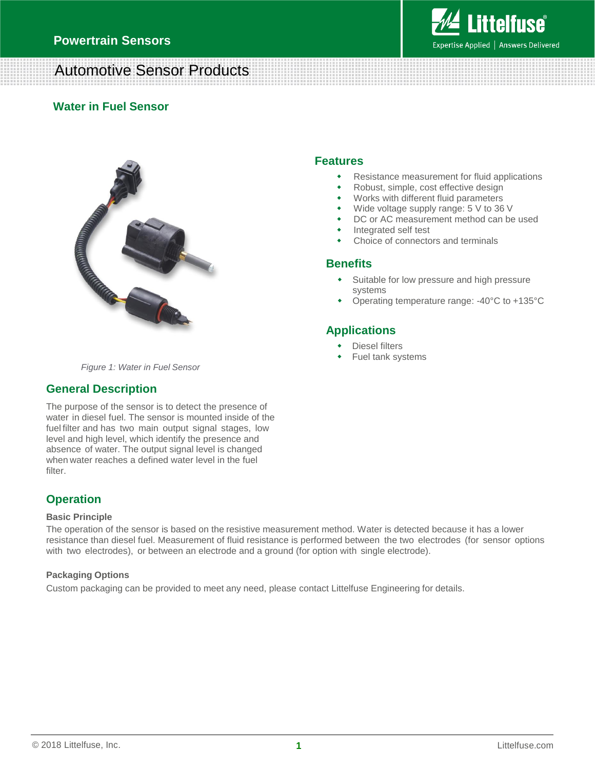

## Automotive Sensor Products

### **Water in Fuel Sensor**



### **Features**

- Resistance measurement for fluid applications
- Robust, simple, cost effective design
- Works with different fluid parameters
- Wide voltage supply range: 5 V to 36 V
- DC or AC measurement method can be used
- Integrated self test
- Choice of connectors and terminals

#### **Benefits**

- Suitable for low pressure and high pressure systems
- Operating temperature range: -40°C to +135°C

## **Applications**

- Diesel filters
- Fuel tank systems

*Figure 1: Water in Fuel Sensor*

### **General Description**

The purpose of the sensor is to detect the presence of water in diesel fuel. The sensor is mounted inside of the fuel filter and has two main output signal stages, low level and high level, which identify the presence and absence of water. The output signal level is changed when water reaches a defined water level in the fuel filter.

## **Operation**

#### **Basic Principle**

The operation of the sensor is based on the resistive measurement method. Water is detected because it has a lower resistance than diesel fuel. Measurement of fluid resistance is performed between the two electrodes (for sensor options with two electrodes), or between an electrode and a ground (for option with single electrode).

#### **Packaging Options**

Custom packaging can be provided to meet any need, please contact Littelfuse Engineering for details.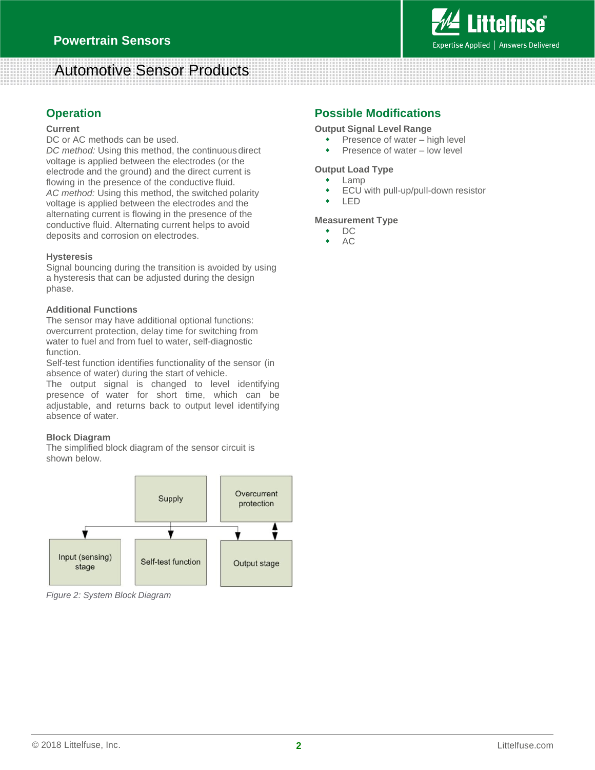

# Automotive Sensor Products

## **Operation**

#### **Current**

DC or AC methods can be used.

DC method: Using this method, the continuous direct voltage is applied between the electrodes (or the electrode and the ground) and the direct current is flowing in the presence of the conductive fluid. *AC method:* Using this method, the switched polarity voltage is applied between the electrodes and the alternating current is flowing in the presence of the conductive fluid. Alternating current helps to avoid deposits and corrosion on electrodes.

#### **Hysteresis**

Signal bouncing during the transition is avoided by using a hysteresis that can be adjusted during the design phase.

#### **Additional Functions**

The sensor may have additional optional functions: overcurrent protection, delay time for switching from water to fuel and from fuel to water, self-diagnostic function.

Self-test function identifies functionality of the sensor (in absence of water) during the start of vehicle.

The output signal is changed to level identifying presence of water for short time, which can be adjustable, and returns back to output level identifying absence of water.

#### **Block Diagram**

The simplified block diagram of the sensor circuit is shown below.



*Figure 2: System Block Diagram*

## **Possible Modifications**

#### **Output Signal Level Range**

- Presence of water high level
- Presence of water low level

#### **Output Load Type**

- Lamp
- ECU with pull-up/pull-down resistor
- LED

#### **Measurement Type**

- DC
- AC